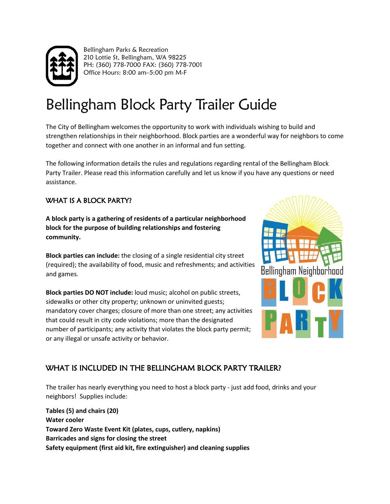

Bellingham Parks & Recreation 210 Lottie St, Bellingham, WA 98225 PH: (360) 778-7000 FAX: (360) 778-7001 Office Hours: 8:00 am–5:00 pm M-F

# Bellingham Block Party Trailer Guide

The City of Bellingham welcomes the opportunity to work with individuals wishing to build and strengthen relationships in their neighborhood. Block parties are a wonderful way for neighbors to come together and connect with one another in an informal and fun setting.

The following information details the rules and regulations regarding rental of the Bellingham Block Party Trailer. Please read this information carefully and let us know if you have any questions or need assistance.

## WHAT IS A BLOCK PARTY?

**A block party is a gathering of residents of a particular neighborhood block for the purpose of building relationships and fostering community.**

**Block parties can include:** the closing of a single residential city street (required); the availability of food, music and refreshments; and activities and games.

**Block parties DO NOT include:** loud music; alcohol on public streets, sidewalks or other city property; unknown or uninvited guests; mandatory cover charges; closure of more than one street; any activities that could result in city code violations; more than the designated number of participants; any activity that violates the block party permit; or any illegal or unsafe activity or behavior.



## WHAT IS INCLUDED IN THE BELLINGHAM BLOCK PARTY TRAILER?

The trailer has nearly everything you need to host a block party - just add food, drinks and your neighbors! Supplies include:

**Tables (5) and chairs (20) Water cooler Toward Zero Waste Event Kit (plates, cups, cutlery, napkins) Barricades and signs for closing the street Safety equipment (first aid kit, fire extinguisher) and cleaning supplies**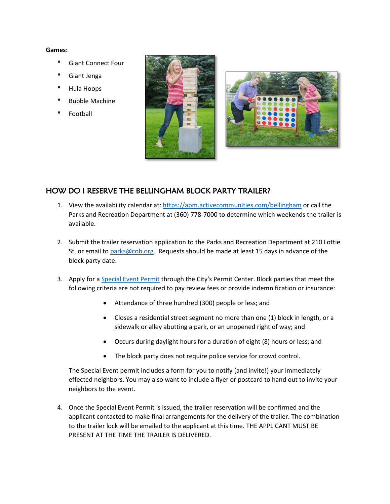#### **Games:**

- Giant Connect Four
- Giant Jenga
- Hula Hoops
- Bubble Machine
- **Football**





## HOW DO I RESERVE THE BELLINGHAM BLOCK PARTY TRAILER?

- 1. View the availability calendar at:<https://apm.activecommunities.com/bellingham> or call the Parks and Recreation Department at (360) 778-7000 to determine which weekends the trailer is available.
- 2. Submit the trailer reservation application to the Parks and Recreation Department at 210 Lottie St. or email to [parks@cob.org.](mailto:parks@cob.org) Requests should be made at least 15 days in advance of the block party date.
- 3. Apply for a [Special Event Permit](https://www.cob.org/services/permits/Pages/special-event-permits.aspx) through the City's Permit Center. Block parties that meet the following criteria are not required to pay review fees or provide indemnification or insurance:
	- Attendance of three hundred (300) people or less; and
	- Closes a residential street segment no more than one (1) block in length, or a sidewalk or alley abutting a park, or an unopened right of way; and
	- Occurs during daylight hours for a duration of eight (8) hours or less; and
	- The block party does not require police service for crowd control.

The Special Event permit includes a form for you to notify (and invite!) your immediately effected neighbors. You may also want to include a flyer or postcard to hand out to invite your neighbors to the event.

4. Once the Special Event Permit is issued, the trailer reservation will be confirmed and the applicant contacted to make final arrangements for the delivery of the trailer. The combination to the trailer lock will be emailed to the applicant at this time. THE APPLICANT MUST BE PRESENT AT THE TIME THE TRAILER IS DELIVERED.